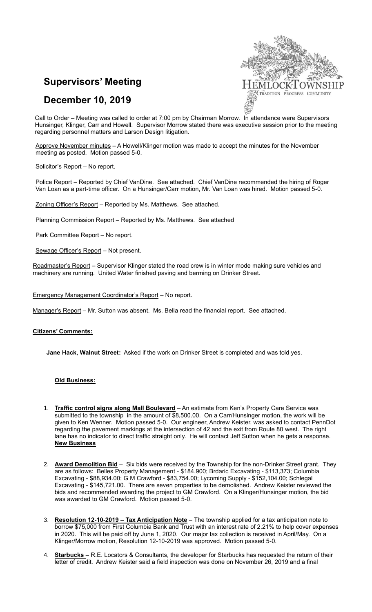## **Supervisors' Meeting**





Call to Order – Meeting was called to order at 7:00 pm by Chairman Morrow. In attendance were Supervisors Hunsinger, Klinger, Carr and Howell. Supervisor Morrow stated there was executive session prior to the meeting regarding personnel matters and Larson Design litigation.

Approve November minutes – A Howell/Klinger motion was made to accept the minutes for the November meeting as posted. Motion passed 5-0.

Solicitor's Report - No report.

Police Report - Reported by Chief VanDine. See attached. Chief VanDine recommended the hiring of Roger Van Loan as a part-time officer. On a Hunsinger/Carr motion, Mr. Van Loan was hired. Motion passed 5-0.

Zoning Officer's Report – Reported by Ms. Matthews. See attached.

Planning Commission Report – Reported by Ms. Matthews. See attached

Park Committee Report - No report.

Sewage Officer's Report – Not present.

Roadmaster's Report - Supervisor Klinger stated the road crew is in winter mode making sure vehicles and machinery are running. United Water finished paving and berming on Drinker Street.

Emergency Management Coordinator's Report – No report.

Manager's Report - Mr. Sutton was absent. Ms. Bella read the financial report. See attached.

## **Citizens' Comments:**

**Jane Hack, Walnut Street:** Asked if the work on Drinker Street is completed and was told yes.

## **Old Business:**

- 1. **Traffic control signs along Mall Boulevard** An estimate from Ken's Property Care Service was submitted to the township in the amount of \$8,500.00. On a Carr/Hunsinger motion, the work will be given to Ken Wenner. Motion passed 5-0. Our engineer, Andrew Keister, was asked to contact PennDot regarding the pavement markings at the intersection of 42 and the exit from Route 80 west. The right lane has no indicator to direct traffic straight only. He will contact Jeff Sutton when he gets a response. **New Business**
- 2. **Award Demolition Bid** Six bids were received by the Township for the non-Drinker Street grant. They are as follows: Belles Property Management - \$184,900; Brdaric Excavating - \$113,373; Columbia Excavating - \$88,934.00; G M Crawford - \$83,754.00; Lycoming Supply - \$152,104.00; Schlegal Excavating - \$145,721.00. There are seven properties to be demolished. Andrew Keister reviewed the bids and recommended awarding the project to GM Crawford. On a Klinger/Hunsinger motion, the bid was awarded to GM Crawford. Motion passed 5-0.
- 3. **Resolution 12-10-2019 – Tax Anticipation Note** The township applied for a tax anticipation note to borrow \$75,000 from First Columbia Bank and Trust with an interest rate of 2.21% to help cover expenses in 2020. This will be paid off by June 1, 2020. Our major tax collection is received in April/May. On a Klinger/Morrow motion, Resolution 12-10-2019 was approved. Motion passed 5-0.
- 4. **Starbucks**  R.E. Locators & Consultants, the developer for Starbucks has requested the return of their letter of credit. Andrew Keister said a field inspection was done on November 26, 2019 and a final